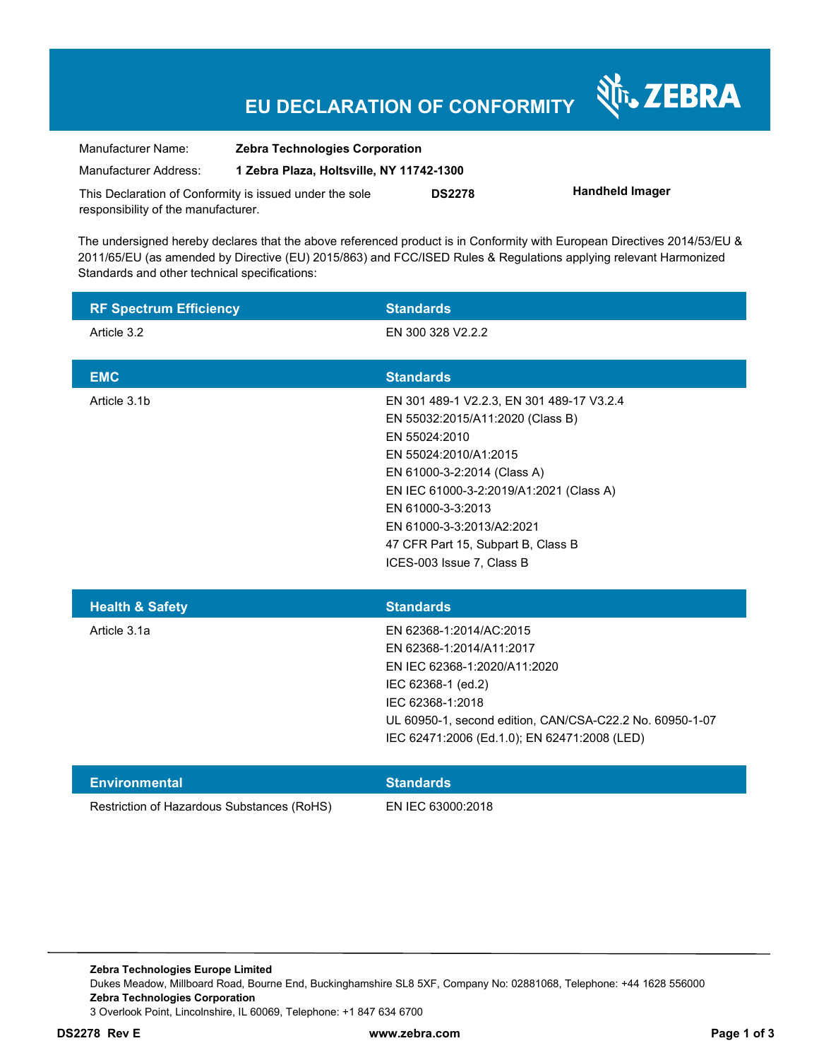## **EU DECLARATION OF CONFORMITY**

Nr. ZEBRA

| Manufacturer Name:                                      | <b>Zebra Technologies Corporation</b>    |               |                        |
|---------------------------------------------------------|------------------------------------------|---------------|------------------------|
| Manufacturer Address:                                   | 1 Zebra Plaza, Holtsville, NY 11742-1300 |               |                        |
| This Declaration of Conformity is issued under the sole |                                          | <b>DS2278</b> | <b>Handheld Imager</b> |
| responsibility of the manufacturer.                     |                                          |               |                        |

The undersigned hereby declares that the above referenced product is in Conformity with European Directives 2014/53/EU & 2011/65/EU (as amended by Directive (EU) 2015/863) and FCC/ISED Rules & Regulations applying relevant Harmonized Standards and other technical specifications:

| <b>RF Spectrum Efficiency</b>              | <b>Standards</b>                                                                                                                                                                                                                                                                                                       |
|--------------------------------------------|------------------------------------------------------------------------------------------------------------------------------------------------------------------------------------------------------------------------------------------------------------------------------------------------------------------------|
| Article 3.2                                | EN 300 328 V2.2.2                                                                                                                                                                                                                                                                                                      |
| <b>EMC</b>                                 | <b>Standards</b>                                                                                                                                                                                                                                                                                                       |
| Article 3.1b                               | EN 301 489-1 V2.2.3, EN 301 489-17 V3.2.4<br>EN 55032:2015/A11:2020 (Class B)<br>EN 55024:2010<br>EN 55024:2010/A1:2015<br>EN 61000-3-2:2014 (Class A)<br>EN IEC 61000-3-2:2019/A1:2021 (Class A)<br>EN 61000-3-3:2013<br>EN 61000-3-3:2013/A2:2021<br>47 CFR Part 15, Subpart B, Class B<br>ICES-003 Issue 7, Class B |
| <b>Health &amp; Safety</b>                 | <b>Standards</b>                                                                                                                                                                                                                                                                                                       |
| Article 3.1a                               | EN 62368-1:2014/AC:2015<br>EN 62368-1:2014/A11:2017<br>EN IEC 62368-1:2020/A11:2020<br>IEC 62368-1 (ed.2)<br>IEC 62368-1:2018<br>UL 60950-1, second edition, CAN/CSA-C22.2 No. 60950-1-07<br>IEC 62471:2006 (Ed.1.0); EN 62471:2008 (LED)                                                                              |
| <b>Environmental</b>                       | <b>Standards</b>                                                                                                                                                                                                                                                                                                       |
| Restriction of Hazardous Substances (RoHS) |                                                                                                                                                                                                                                                                                                                        |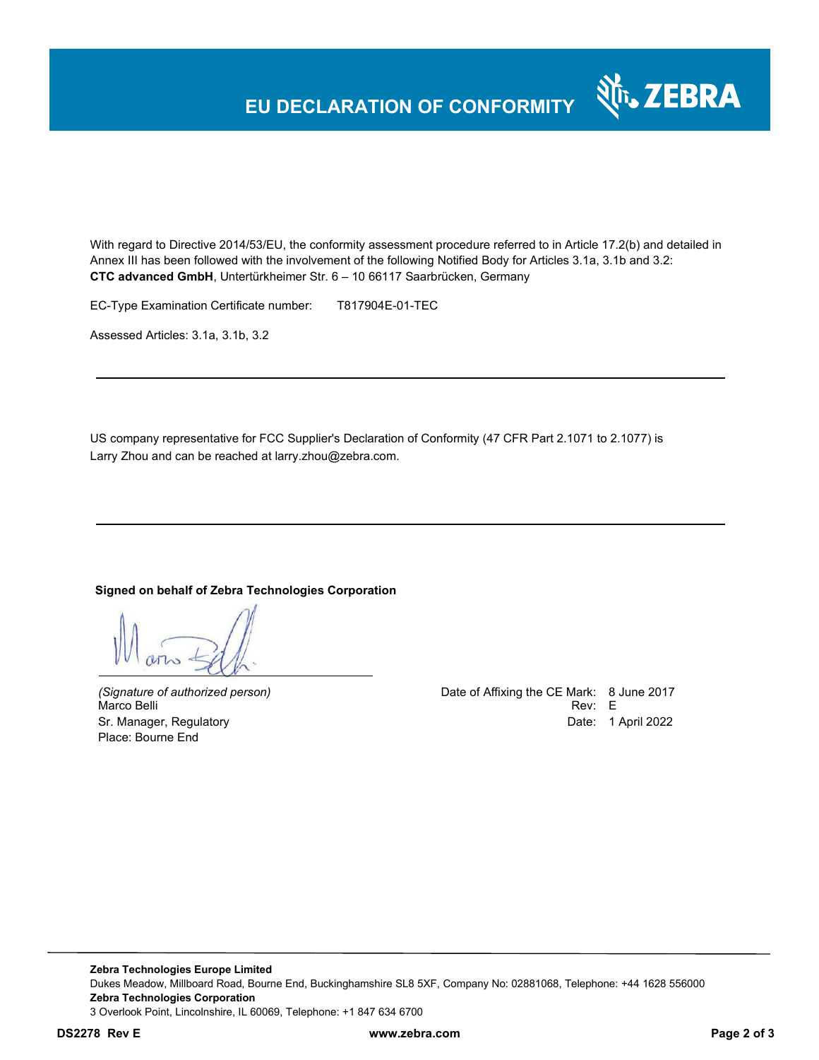## **EU DECLARATION OF CONFORMITY**

With regard to Directive 2014/53/EU, the conformity assessment procedure referred to in Article 17.2(b) and detailed in Annex III has been followed with the involvement of the following Notified Body for Articles 3.1a, 3.1b and 3.2: **CTC advanced GmbH**, Untertürkheimer Str. 6 – 10 66117 Saarbrücken, Germany

EC-Type Examination Certificate number: T817904E-01-TEC

Assessed Articles: 3.1a, 3.1b, 3.2

US company representative for FCC Supplier's Declaration of Conformity (47 CFR Part 2.1071 to 2.1077) is Larry Zhou and can be reached at larry.zhou@zebra.com.

#### **Signed on behalf of Zebra Technologies Corporation**

Place: Bourne End

*(Signature of authorized person)* Date of Affixing the CE Mark: 8 June 2017 Marco Belli Rev: E Sr. Manager, Regulatory **Date: 1 April 2022** 

र्शे<sub>ि</sub> ZEBRA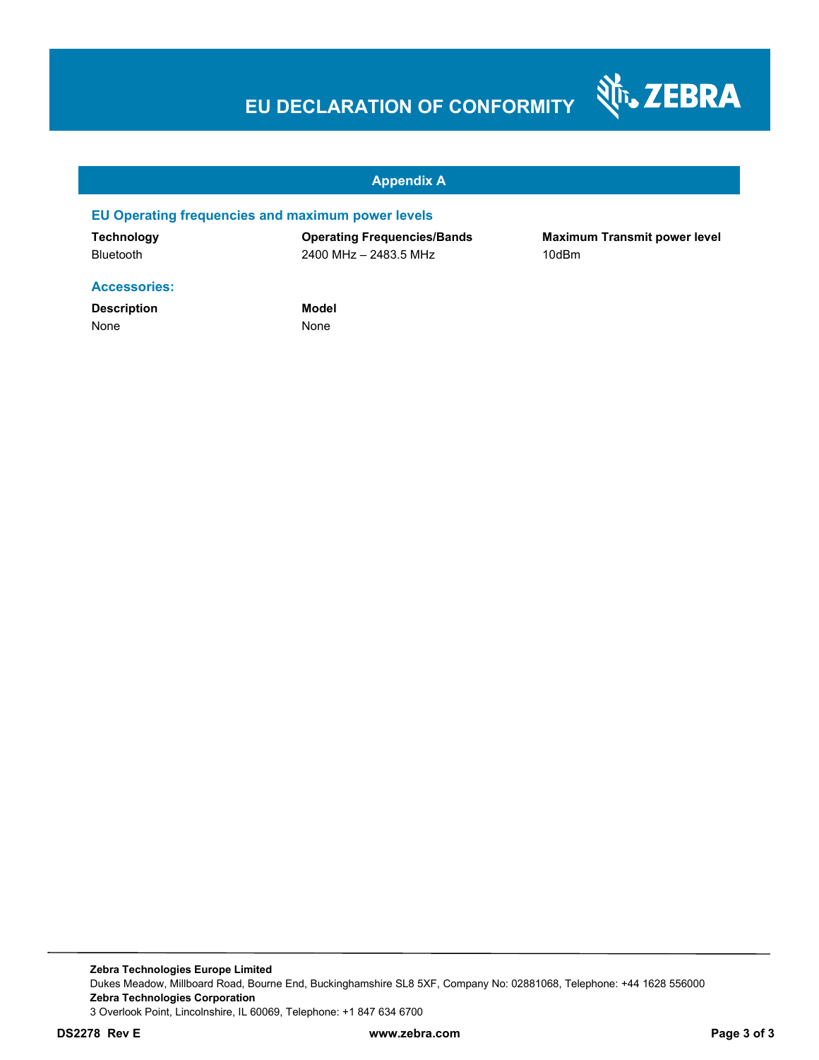# **EU DECLARATION OF CONFORMITY**



#### **Appendix A**

#### **EU Operating frequencies and maximum power levels**

**Technology Operating Frequencies/Bands Maximum Transmit power level**  Bluetooth 2400 MHz – 2483.5 MHz 10dBm

#### **Accessories:**

**Description Model** None None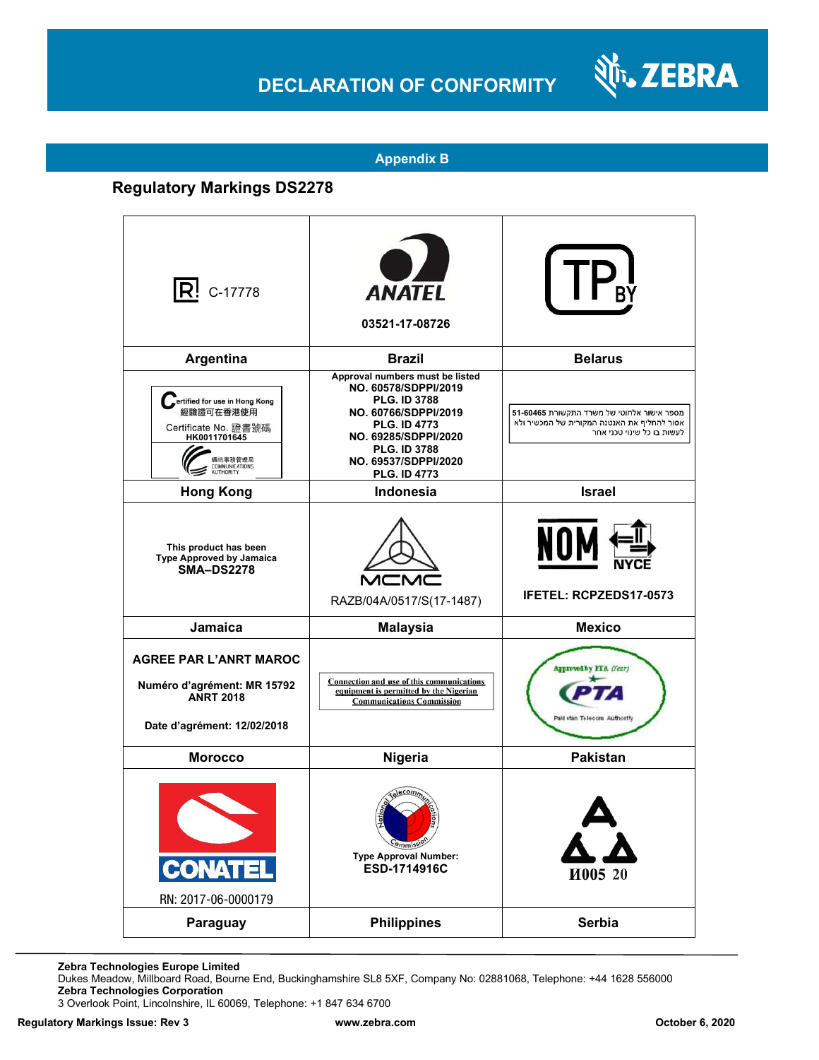## **DECLARATION OF CONFORMITY**



#### **Appendix B**

### **Regulatory Markings DS2278**

| $ {\bf R}!$ c-17778                                                                                                          | <b>ANATEL</b><br>03521-17-08726                                                                                                                                                                                             |                                                                                                                         |
|------------------------------------------------------------------------------------------------------------------------------|-----------------------------------------------------------------------------------------------------------------------------------------------------------------------------------------------------------------------------|-------------------------------------------------------------------------------------------------------------------------|
| Argentina                                                                                                                    | <b>Brazil</b>                                                                                                                                                                                                               | <b>Belarus</b>                                                                                                          |
| ertified for use in Hong Kong<br>經驗證可在香港使用<br>Certificate No. 證書號碼<br>HK0011701645<br>通訊事務管理局<br>COMMUNICATIONS<br>AUTHORITY | Approval numbers must be listed<br>NO. 60578/SDPPI/2019<br><b>PLG. ID 3788</b><br>NO. 60766/SDPPI/2019<br><b>PLG. ID 4773</b><br>NO. 69285/SDPPI/2020<br><b>PLG. ID 3788</b><br>NO. 69537/SDPPI/2020<br><b>PLG. ID 4773</b> | מספר אישור אלחוטי של משרד התקשורת 51-60465<br>אסור להחליף את האנטנה המקורית של המכשיר ולא<br>לעשות בו כל שינוי טכני אחר |
| <b>Hong Kong</b>                                                                                                             | Indonesia                                                                                                                                                                                                                   | <b>Israel</b>                                                                                                           |
| This product has been<br><b>Type Approved by Jamaica</b><br><b>SMA-DS2278</b>                                                | RAZB/04A/0517/S(17-1487)                                                                                                                                                                                                    | NOM<br>IFETEL: RCPZEDS17-0573                                                                                           |
| Jamaica                                                                                                                      | <b>Malaysia</b>                                                                                                                                                                                                             | <b>Mexico</b>                                                                                                           |
| <b>AGREE PAR L'ANRT MAROC</b><br>Numéro d'agrément: MR 15792<br><b>ANRT 2018</b><br>Date d'agrément: 12/02/2018              | Connection and use of this communications<br>equipment is permitted by the Nigerian<br><b>Communications Commission</b>                                                                                                     | Approved by PTA (Year)<br>Paki stan Telecom Authority                                                                   |
| <b>Morocco</b>                                                                                                               | Nigeria                                                                                                                                                                                                                     | <b>Pakistan</b>                                                                                                         |
| <b>CONATEL</b><br>RN: 2017-06-0000179                                                                                        | 륃<br>Commissic<br><b>Type Approval Number:</b><br>ESD-1714916C                                                                                                                                                              | И005 20                                                                                                                 |
| Paraguay                                                                                                                     | <b>Philippines</b>                                                                                                                                                                                                          | <b>Serbia</b>                                                                                                           |

**Zebra Technologies Europe Limited** 

Dukes Meadow, Millboard Road, Bourne End, Buckinghamshire SL8 5XF, Company No: 02881068, Telephone: +44 1628 556000 **Zebra Technologies Corporation** 

3 Overlook Point, Lincolnshire, IL 60069, Telephone: +1 847 634 6700